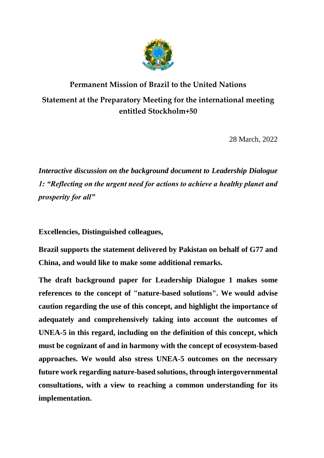

## **Permanent Mission of Brazil to the United Nations Statement at the Preparatory Meeting for the international meeting entitled Stockholm+50**

28 March, 2022

*Interactive discussion on the background document to Leadership Dialogue 1: "Reflecting on the urgent need for actions to achieve a healthy planet and prosperity for all"*

**Excellencies, Distinguished colleagues,**

**Brazil supports the statement delivered by Pakistan on behalf of G77 and China, and would like to make some additional remarks.**

**The draft background paper for Leadership Dialogue 1 makes some references to the concept of "nature-based solutions". We would advise caution regarding the use of this concept, and highlight the importance of adequately and comprehensively taking into account the outcomes of UNEA-5 in this regard, including on the definition of this concept, which must be cognizant of and in harmony with the concept of ecosystem-based approaches. We would also stress UNEA-5 outcomes on the necessary future work regarding nature-based solutions, through intergovernmental consultations, with a view to reaching a common understanding for its implementation.**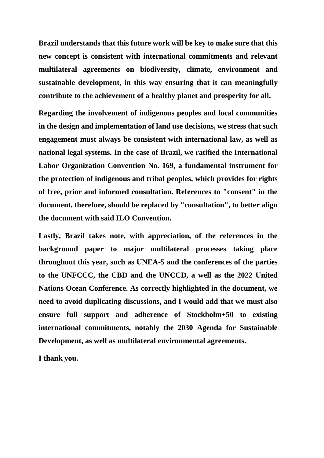**Brazil understands that this future work will be key to make sure that this new concept is consistent with international commitments and relevant multilateral agreements on biodiversity, climate, environment and sustainable development, in this way ensuring that it can meaningfully contribute to the achievement of a healthy planet and prosperity for all.**

**Regarding the involvement of indigenous peoples and local communities in the design and implementation of land use decisions, we stress that such engagement must always be consistent with international law, as well as national legal systems. In the case of Brazil, we ratified the International Labor Organization Convention No. 169, a fundamental instrument for the protection of indigenous and tribal peoples, which provides for rights of free, prior and informed consultation. References to "consent" in the document, therefore, should be replaced by "consultation", to better align the document with said ILO Convention.**

**Lastly, Brazil takes note, with appreciation, of the references in the background paper to major multilateral processes taking place throughout this year, such as UNEA-5 and the conferences of the parties to the UNFCCC, the CBD and the UNCCD, a well as the 2022 United Nations Ocean Conference. As correctly highlighted in the document, we need to avoid duplicating discussions, and I would add that we must also ensure full support and adherence of Stockholm+50 to existing international commitments, notably the 2030 Agenda for Sustainable Development, as well as multilateral environmental agreements.**

**I thank you.**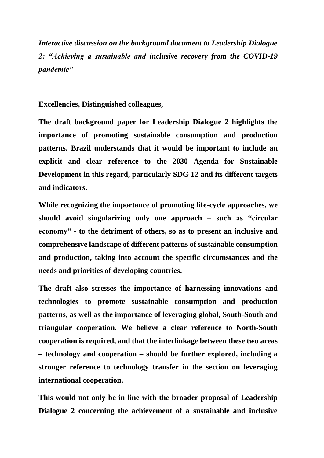*Interactive discussion on the background document to Leadership Dialogue 2: "Achieving a sustainable and inclusive recovery from the COVID-19 pandemic"*

**Excellencies, Distinguished colleagues,**

**The draft background paper for Leadership Dialogue 2 highlights the importance of promoting sustainable consumption and production patterns. Brazil understands that it would be important to include an explicit and clear reference to the 2030 Agenda for Sustainable Development in this regard, particularly SDG 12 and its different targets and indicators.** 

**While recognizing the importance of promoting life-cycle approaches, we should avoid singularizing only one approach – such as "circular economy" - to the detriment of others, so as to present an inclusive and comprehensive landscape of different patterns of sustainable consumption and production, taking into account the specific circumstances and the needs and priorities of developing countries.**

**The draft also stresses the importance of harnessing innovations and technologies to promote sustainable consumption and production patterns, as well as the importance of leveraging global, South-South and triangular cooperation. We believe a clear reference to North-South cooperation is required, and that the interlinkage between these two areas – technology and cooperation – should be further explored, including a stronger reference to technology transfer in the section on leveraging international cooperation.** 

**This would not only be in line with the broader proposal of Leadership Dialogue 2 concerning the achievement of a sustainable and inclusive**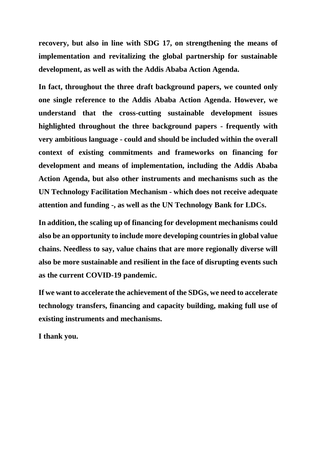**recovery, but also in line with SDG 17, on strengthening the means of implementation and revitalizing the global partnership for sustainable development, as well as with the Addis Ababa Action Agenda.**

**In fact, throughout the three draft background papers, we counted only one single reference to the Addis Ababa Action Agenda. However, we understand that the cross-cutting sustainable development issues highlighted throughout the three background papers - frequently with very ambitious language - could and should be included within the overall context of existing commitments and frameworks on financing for development and means of implementation, including the Addis Ababa Action Agenda, but also other instruments and mechanisms such as the UN Technology Facilitation Mechanism - which does not receive adequate attention and funding -, as well as the UN Technology Bank for LDCs.**

**In addition, the scaling up of financing for development mechanisms could also be an opportunity to include more developing countries in global value chains. Needless to say, value chains that are more regionally diverse will also be more sustainable and resilient in the face of disrupting events such as the current COVID-19 pandemic.**

**If we want to accelerate the achievement of the SDGs, we need to accelerate technology transfers, financing and capacity building, making full use of existing instruments and mechanisms.** 

**I thank you.**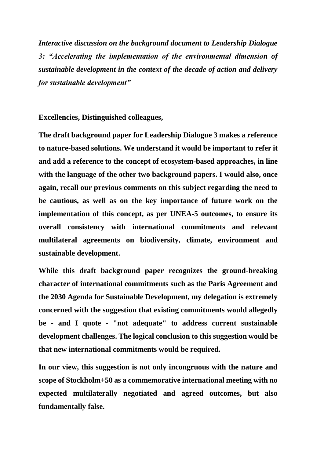*Interactive discussion on the background document to Leadership Dialogue 3: "Accelerating the implementation of the environmental dimension of sustainable development in the context of the decade of action and delivery for sustainable development"*

**Excellencies, Distinguished colleagues,**

**The draft background paper for Leadership Dialogue 3 makes a reference to nature-based solutions. We understand it would be important to refer it and add a reference to the concept of ecosystem-based approaches, in line with the language of the other two background papers. I would also, once again, recall our previous comments on this subject regarding the need to be cautious, as well as on the key importance of future work on the implementation of this concept, as per UNEA-5 outcomes, to ensure its overall consistency with international commitments and relevant multilateral agreements on biodiversity, climate, environment and sustainable development.**

**While this draft background paper recognizes the ground-breaking character of international commitments such as the Paris Agreement and the 2030 Agenda for Sustainable Development, my delegation is extremely concerned with the suggestion that existing commitments would allegedly be - and I quote - "not adequate" to address current sustainable development challenges. The logical conclusion to this suggestion would be that new international commitments would be required.** 

**In our view, this suggestion is not only incongruous with the nature and scope of Stockholm+50 as a commemorative international meeting with no expected multilaterally negotiated and agreed outcomes, but also fundamentally false.**